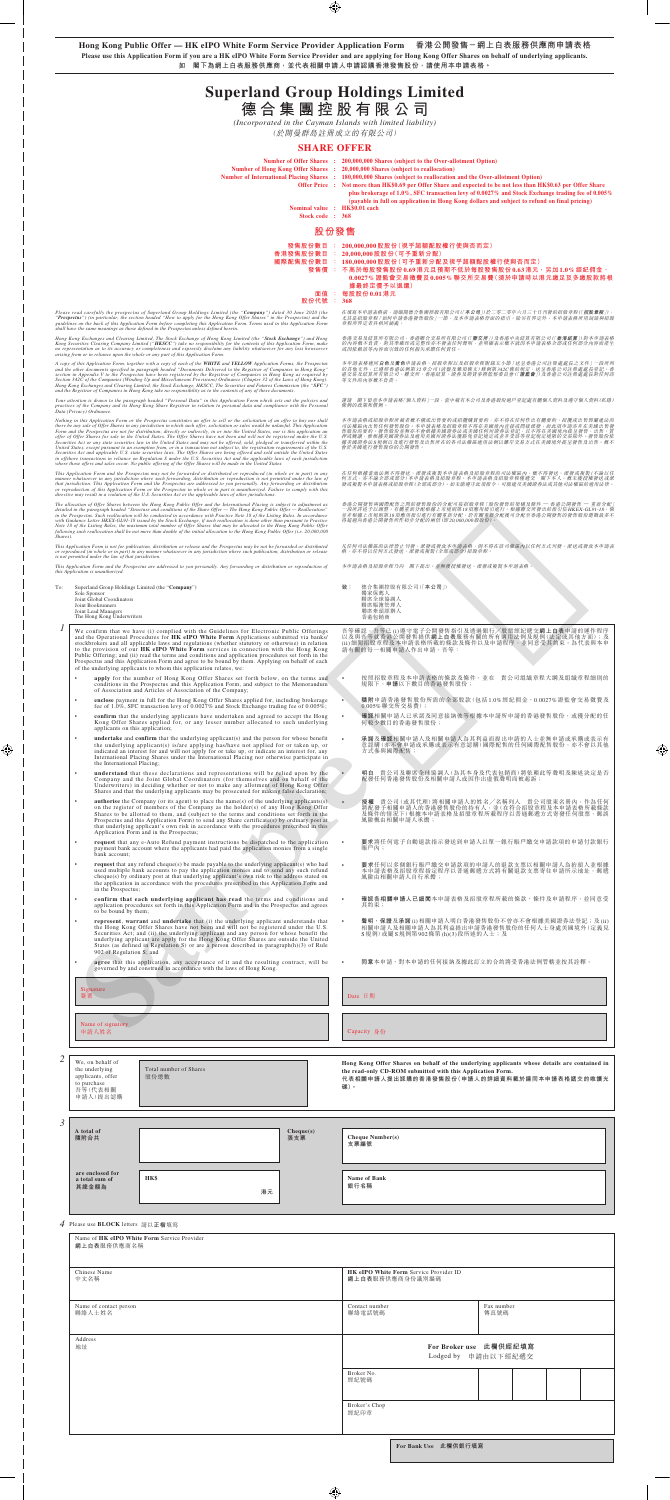**Hong Kong Public Offer — HK eIPO White Form Service Provider Application Form 香港公開發售-網上白表服務供應商申請表格 Please use this Application Form if you are a HK eIPO White Form Service Provider and are applying for Hong Kong Offer Shares on behalf of underlying applicants. 如 閣下為網上白表服務供應商,並代表相關申請人申請認購香港發售股份,請使用本申請表格。**

# **Superland Group Holdings Limited 德 合 集 團 控 股 有 限 公 司**

*(Incorporated in the Cayman Islands with limited liability)*

(於開曼群島註冊成立的有限公司)

### **SHARE OFFER**

|                               | Number of Offer Shares : 200,000,000 Shares (subject to the Over-allotment Option)                                                                                                               |
|-------------------------------|--------------------------------------------------------------------------------------------------------------------------------------------------------------------------------------------------|
|                               | Number of Hong Kong Offer Shares : 20,000,000 Shares (subject to reallocation)                                                                                                                   |
|                               | Number of International Placing Shares : 180,000,000 Shares (subject to reallocation and the Over-allotment Option)                                                                              |
|                               | Offer Price : Not more than HK\$0.69 per Offer Share and expected to be not less than HK\$0.63 per Offer Share                                                                                   |
|                               | plus brokerage of 1.0%, SFC transaction levy of 0.0027% and Stock Exchange trading fee of 0.005%<br>(payable in full on application in Hong Kong dollars and subject to refund on final pricing) |
| Nominal value : HK\$0.01 each |                                                                                                                                                                                                  |
| Stock code : 368              |                                                                                                                                                                                                  |
|                               |                                                                                                                                                                                                  |

*Hong Kong Exchanges and Clearing Limited, The Stock Exchange of Hong Kong Limited (the "Stock Exchange") and Hong*  Kong Securities Clearing Company Limited ("**HKSCC**") take no responsibility for the contents of this Application Form, make<br>no representation as to its accuracy or completeness and expressly disclaim any liability whatsoev

A copy of this Application Form, together with a copy of each of the **WHITE** and **YELLOW** Application Forms, the Prospectus<br>and the other documents specified in paragraph headed "Documents Delivered to the Registrar of Com

Your attention is drawn to the paragraph headed "Personal Data" in this Application Form which sets out the policies and<br>practices of the Company and its Hong Kong Share Registrar in relation to personal data and complianc

Nothing in this Application Form or the Prospectus constitutes an offer to sell or the solicitation of an offer to buy nor shall there be any sale of Offer Shares in any jurisdiction in which such offer, solicitation or sa

This Application Form and the Prospectus may not be forwarded or distributed or reproduced (in whole or in part) in any<br>manner whatsoever in any jurisdiction where such forwarding, distribution or reproduction is not permi

The allocation of Offer Shares between the Hong Kong Public Offer and the International Placing is subject to adjustment as<br>detailed in the paragraph headed "Structure and conditions of the Share Offer — The Hong Kong Publ

### **股份發售**

| 發售股份數目   |       | : 200,000,000股股份(視乎超額配股權行使與否而定)                 |
|----------|-------|-------------------------------------------------|
| 香港發售股份數目 |       | 20,000,000股股份(可予重新分配)                           |
| 國際配售股份數目 |       | : 180,000,000股股份(可予重新分配及視乎超額配股權行使與否而定)          |
| 發售價      |       | : 不高於每股發售股份0.69港元且預期不低於每股發售股份0.63港元,另加1.0%經紀佣金、 |
|          |       | 0.002.7%證監會交易徵費及0.005%聯交所交易費(須於申請時以港元繳足及多繳股款將根  |
|          |       | 據最終定價予以退還)                                      |
| 面佰       | - 100 | 每股股份 0.01 港元                                    |

# **股份代號 : 368**

Please read carefully the prospectus of Superland Group Holdings Limited (the "**Company**") dated 30 June 2020 (the<br>"**Prospectus**") (in particular, the section headed "How to apply for the Hong Kong Offer Shares" in the Pro

謹請 閣下留意本申請表格「個人資料」一段,當中載有本公司及香港股份過戶登記處有關個人資料及遵守個人資料(私隱) 條例的政策和慣例。

本申請表格或招股章程所載者概不構成出售要約或招攬購買要約,亦不得在任何作出有關要約、招攬或出售即屬建法的有方便提供的。本申請表格及招股資源及提供及行為提供了提供的要求。而此項申請亦非相互的要求的要求的<br>司法權區內出售任何發售股份。本申請表格及招股章程不得在美國境內直接或間接派發。而此項申請亦非在美國出售發<br>普股份的要約。發售股份並無亦不會根據美國部券法或美國任何州證券法登記,且不得在美國境內提呈發售、出售、資<br>按美國雄行發售股份的公開發售

在任何根據當地法例不得發送、派發或複製本申請表格及招股章程的司法權區內,概不得發送、派發或複製(不論以任<br>何方式,亦不論会部或部分)本申請表格及招股章程。本申請表格及招股章程僅遷交 關下本人。概未獲授權發送或派<br>發或複製本申請表格或招股章程(全部或部分)。如未能遵守此項指令,可能建反美國證券法或其他司法權區的適用法律。

香港公開發售與國際配售之間的發售股份的分配可按招股章程「股份發售的架構及條件 — 香港公開發售 — 重新分配」<br>一段所詳述子以測整。有關重新分配根據上市規則第18項應用指引進行。根據聯交所發出的指引信HKEX-GL91-18, 倘<br>並非根據上市規則第18項應用指引進行有關重新分配,於有關重新分電後可分配至香港公開發售的發售股份總數最多不<br>得超過向香港公開發售所作初步分配的兩倍(即20,000,000股股份)。

- 
- **致**: 德合集團控股有限公司(「本公司」)<br>獨家保薦人<br>聯席室球協調人<br>聯席牽頭經辦人

| To: | Superland Group Holdings Limited (the "Company")<br>Sole Sponsor |
|-----|------------------------------------------------------------------|
|     | Joint Global Coordinators                                        |
|     | Joint Bookrunners                                                |
|     | Joint Lead Managers                                              |
|     | The Hong Kong Underwriters                                       |

- *1* We confirm that we have (i) complied with the Guidelines for Electronic Public Offerings and the Operational Procedures for **HK eIPO White Form** Applications submitted via banks/<br>stockbrokers and all applicable laws and regulations (whether statutory or otherwise) in relation<br>to the provision of our **HK eIPO W** 
	- apply for the number of Hong Kong Offer Shares set forth below, on the terms and conditions in the Prospectus and this Application Form, and subject to the Memorandum of Association and Articles of Association of the Com
	- **enclose** payment in full for the Hong Kong Offer Shares applied for, including brokerage fee of 1.0%, SFC transaction levy of 0.0027% and Stock Exchange trading fee of 0.005%;
	- **confirm** that the underlying applicants have undertaken and agreed to accept the Hong Kong Offer Shares applied for, or any lesser number allocated to such underlying applicants on this application;
	- **• undertake** and **confirm** that the underlying applicant(s) and the person for whose benefit the underlying applicant(s) is/are applying has/have not applied for or taken up, or indicated an interest for and will not ap the International Placing;
	- **• understand** that these declarations and representations will be relied upon by the Company and the Joint Global Coordinators (for themselves and on behalf of the Underwriters) in deciding whether or not to make any al
	- **• authorise** the Company (or its agent) to place the name(s) of the underlying applicants(s) on the register of members of the Company as the holder(s) of any Hong Kong Offer Shares to be allotted to them, and (subject Prospectus and this Application Form) to send any Share certificate(s) by ordinary post at that underlying applicant's own risk in accordance with the procedures prescribed in this Application Form and in the Prospectus;
	- **request** that any e-Auto Refund payment instructions be dispatched to the application payment bank account where the applicants had paid the application monies from a single bank account;
	- request that any refund cheque(s) be made payable to the underlying applicant(s) who had used multiple bank accounts to pay the application monies and to send any such refund<br>cheque(s) by ordinary post at that underlying
	- **confirm that each underlying applicant has read** the terms and conditions and application procedures set forth in this Application Form and in the Prospectus and agrees

在填寫本申請表格前,請細聞德合集團控股有限公司(「**本公司**」)於二零二零年六月三十日刊發的招股章程(「**招股章程**」),<br>尤其是招股章程「如何申請香港發售股份」一節,及本申請表格背面的指引。除另有界定外,本申請表格所用詞語與招股<br>章程所界定者具相同涵義。

香港交易及結算所有限公司,奇港聯合交易所有限公司(「**聯交所**」)及香港中央結算有限公司(「**香港結算**」)對本申請表格<br>的內容概不負責, 對其準確性或完整性亦不發表任何會明, 並明確表示概不就因本申請表格全部或任何部分內容而產生<br>或因依賴該等內容而引致的任何損失承擔任何責任。

本申請表格通同自**白**及黃色申請表格、招股章程以及招股章程附錄五小節「送呈香港公司註冊處處長之文件」一段所列<br>的其他文件,已遵照香港法例第32章公司(清盤及雜項條文)條例第342C條的規定,送呈香港公司註冊處處長登記。香<br>港交易及結算所有限公司、聯交所、香港結算、證券及期貨事務監察委員會(「**證監會**」)及香港公司註冊處處長對任何該

- 按照招股章程及本申請表格的條款及條件,並在 貴公司組織章程大綱及組織章程細則的 規限下,**申請**以下數目的香港發售股份;
- **隨附**申請香港發售股份所需的全部股款(包括1.0%經紀佣金、0.0027%證監會交易徵費及 0.005%聯交所交易費);
- 確認相關申請人已承諾及同意接納彼等根據本申請所申請的香港發售股份,或獲分配的任<br>何較少數目的香港發售股份;
- **承諾**及**確認**相關申請人及相關申請人為其利益而提出申請的人士並無申請或承購或表示有 意認購(亦不會申請或承購或表示有意認購)國際配售的任何國際配售股份,亦不會以其他 意認購(亦不會申請;<br>方式參與國際配售;
- **明白** 貴公司及聯席全球協調人(為其本身及代表包銷商)將依賴此等聲明及陳述決定是否 配發任何香港發售股份及相關申請人或因作出虛假聲明而被起訴;
- **授權** 貴公司(或其代理)將相關申請人的姓名/名稱列入 貴公司股東名冊內,作為任何<br>將配發予相關申請人的香港發售股份的持有人,並(在符合招股章程及本申請表格所載條款<br>及除併的情況下)根據本申請表格及招股章程所載程序以普通郵遞方式寄發任何股票,郵誤<br>風險概由相關申請人承擔;
- 要求將任何電子自動退款指示發送到申請人以單一銀行賬戶繳交申請款項的申請付款銀行<br>· 賬戶內;
- **要求**任何以多個銀行賬戶繳交申請款項的申請人的退款支票以相關申請人為抬頭人並根據 本申請表格及招股章程指定程序以普通郵遞方式將有關退款支票寄往申請所示地址,郵遞<br>風險由相關申請人自行承擔;
- **確認各相關申請人已細閱**本申請表格及招股章程所載的條款、條件及申請程序,並同意受 其約束;

| Shares). |                                                                                                                     | with Guidance Letter HKLA=GL71=10 issued by the Stock Exchange, if such reatiocation is done other than pursuant to Fractice<br>Note 18 of the Listing Rules, the maximum total number of Offer Shares that may be allocated to the Hong Kong Public Offer<br>following such reallocation shall be not more than double of the initial allocation to the Hong Kong Public Offer (i.e. 20,000,000                                                                                                                                                                                          |                    |                                                                         | 付起迦門宜偕公两致旨別仆初少刀乱的問旧(&P_20,000,000)及放切。                                                                                                                                                                   |                                               |  |
|----------|---------------------------------------------------------------------------------------------------------------------|-------------------------------------------------------------------------------------------------------------------------------------------------------------------------------------------------------------------------------------------------------------------------------------------------------------------------------------------------------------------------------------------------------------------------------------------------------------------------------------------------------------------------------------------------------------------------------------------|--------------------|-------------------------------------------------------------------------|----------------------------------------------------------------------------------------------------------------------------------------------------------------------------------------------------------|-----------------------------------------------|--|
|          | is not permitted under the law of that jurisdiction.                                                                | This Application Form is not for publication, distribution or release and the Prospectus may be not be forwarded or distributed<br>or reproduced (in whole or in part) in any manner whatsoever in any jurisdiction where such publication, distribution or release                                                                                                                                                                                                                                                                                                                       |                    |                                                                         | 凡任何司法權區的法律禁止刊發、派發或發放本申請表格,則不得在該司權區內以任何方式刊發、派送或發放本申請表<br>格,亦不得以任何方式發送、派發或複製(全部或部分)招股章程。                                                                                                                   |                                               |  |
|          | this Application is unauthorized.                                                                                   | This Application Form and the Prospectus are addressed to you personally. Any forwarding or distribution or reproduction of                                                                                                                                                                                                                                                                                                                                                                                                                                                               |                    |                                                                         | 本申請表格及招股章程乃向 閣下提出。並無獲授權發送、派發或複製本申請表格。                                                                                                                                                                    |                                               |  |
| To:      | Sole Sponsor<br>Joint Global Coordinators<br>Joint Bookrunners<br>Joint Lead Managers<br>The Hong Kong Underwriters | Superland Group Holdings Limited (the "Company")                                                                                                                                                                                                                                                                                                                                                                                                                                                                                                                                          |                    | 致: 德合集團控股有限公司(「本公司」)<br>獨家保薦人<br>聯席全球協調人<br>聯席賬簿管理人<br>聯席牽頭經辦人<br>香港包銷商 |                                                                                                                                                                                                          |                                               |  |
|          |                                                                                                                     | We confirm that we have (i) complied with the Guidelines for Electronic Public Offerings<br>and the Operational Procedures for HK eIPO White Form Applications submitted via banks/<br>stockbrokers and all applicable laws and regulations (whether statutory or otherwise) in relation<br>to the provision of our HK eIPO White Form services in connection with the Hong Kong<br>Public Offering; and (ii) read the terms and conditions and application procedures set forth in the<br>Prospectus and this Application Form and agree to be bound by them. Applying on behalf of each |                    |                                                                         | 吾等確認,吾等已(i)遵守電子公開發售指引及透過銀行/股票經紀遞交 <b>網上白表</b> 申請的運作程序<br>以及與吾等就香港公開發售提供網上白表服務有關的所有適用法例及規例(法定或其他方面);及<br>(ii) 細閲招股章程及本申請表格所載的條款及條件以及申請程序, 並同意受其約束。為代表與本申<br>請有關的每一相關申請人作出申請,吾等:                           |                                               |  |
|          |                                                                                                                     | of the underlying applicants to whom this application relates, we:<br>apply for the number of Hong Kong Offer Shares set forth below, on the terms and<br>conditions in the Prospectus and this Application Form, and subject to the Memorandum                                                                                                                                                                                                                                                                                                                                           |                    |                                                                         | 按照招股章程及本申請表格的條款及條件,並在 貴公司組織章程大綱及組織章程細則的<br>規限下,申請以下數目的香港發售股份;                                                                                                                                            |                                               |  |
|          | ٠                                                                                                                   | of Association and Articles of Association of the Company;<br>enclose payment in full for the Hong Kong Offer Shares applied for, including brokerage<br>fee of 1.0%, SFC transaction levy of $0.0027\%$ and Stock Exchange trading fee of $0.005\%$ ;                                                                                                                                                                                                                                                                                                                                    |                    | $\bullet$<br>0.005%聯交所交易費);                                             | 隨附申請香港發售股份所需的全部股款(包括1.0%經紀佣金、0.0027%證監會交易徵費及                                                                                                                                                             |                                               |  |
|          | ٠                                                                                                                   | confirm that the underlying applicants have undertaken and agreed to accept the Hong<br>Kong Offer Shares applied for, or any lesser number allocated to such underlying<br>applicants on this application;                                                                                                                                                                                                                                                                                                                                                                               |                    | $\bullet$                                                               | 確認相關申請人已承諾及同意接納彼等根據本申請所申請的香港發售股份,或獲分配的任<br>何較少數目的香港發售股份;                                                                                                                                                 |                                               |  |
|          | the International Placing;                                                                                          | <b>undertake</b> and <b>confirm</b> that the underlying applicant(s) and the person for whose benefit<br>the underlying applicant(s) is/are applying has/have not applied for or taken up, or<br>indicated an interest for and will not apply for or take up, or indicate an interest for, any<br>International Placing Shares under the International Placing nor otherwise participate in                                                                                                                                                                                               |                    | 方式參與國際配售;                                                               | 承諾及確認相關申請人及相關申請人為其利益而提出申請的人士並無申請或承購或表示有<br>意認購(亦不會申請或承購或表示有意認購)國際配售的任何國際配售股份,亦不會以其他                                                                                                                      |                                               |  |
|          | ٠                                                                                                                   | understand that these declarations and representations will be relied upon by the<br>Company and the Joint Global Coordinators (for themselves and on behalf of the<br>Underwriters) in deciding whether or not to make any allotment of Hong Kong Offer<br>Shares and that the underlying applicants may be prosecuted for making false declaration;                                                                                                                                                                                                                                     |                    |                                                                         | 明白 貴公司及聯席全球協調人(為其本身及代表包銷商)將依賴此等聲明及陳述決定是否<br>配發任何香港發售股份及相關申請人或因作出虛假聲明而被起訴;                                                                                                                                |                                               |  |
|          | $\bullet$                                                                                                           | authorise the Company (or its agent) to place the name(s) of the underlying applicants(s)<br>on the register of members of the Company as the holder(s) of any Hong Kong Offer<br>Shares to be allotted to them, and (subject to the terms and conditions set forth in the<br>Prospectus and this Application Form) to send any Share certificate(s) by ordinary post at<br>that underlying applicant's own risk in accordance with the procedures prescribed in this                                                                                                                     |                    | 風險概由相關申請人承擔;                                                            | 授權 貴公司(或其代理)將相關申請人的姓名/名稱列入 貴公司股東名冊內,作為任何<br>將配發予相關申請人的香港發售股份的持有人,並(在符合招股章程及本申請表格所載條款<br>及條件的情況下)根據本申請表格及招股章程所載程序以普通郵遞方式寄發任何股票,郵誤                                                                         |                                               |  |
|          | bank account;                                                                                                       | Application Form and in the Prospectus;<br>request that any e-Auto Refund payment instructions be dispatched to the application<br>payment bank account where the applicants had paid the application monies from a single                                                                                                                                                                                                                                                                                                                                                                |                    | 賬戶內;                                                                    | 要求將任何電子自動退款指示發送到申請人以單一銀行賬戶繳交申請款項的申請付款銀行                                                                                                                                                                  |                                               |  |
|          |                                                                                                                     | <b>request</b> that any refund cheque(s) be made payable to the underlying applicant(s) who had<br>used multiple bank accounts to pay the application monies and to send any such refund<br>$cheque(s)$ by ordinary post at that underlying applicant's own risk to the address stated on<br>the application in accordance with the procedures prescribed in this Application Form and                                                                                                                                                                                                    |                    |                                                                         | 要求任何以多個銀行賬戶繳交申請款項的申請人的退款支票以相關申請人為抬頭人並根據<br>本申請表格及招股章程指定程序以普通郵遞方式將有關退款支票寄往申請所示地址,郵遞<br>風險由相關申請人自行承擔。                                                                                                      |                                               |  |
|          | in the Prospectus;<br>٠                                                                                             | confirm that each underlying applicant has read the terms and conditions and<br>application procedures set forth in this Application Form and in the Prospectus and agrees                                                                                                                                                                                                                                                                                                                                                                                                                |                    | 其約束;                                                                    | 確認各相關申請人已細閱本申請表格及招股章程所載的條款、條件及申請程序,並同意受                                                                                                                                                                  |                                               |  |
|          | to be bound by them;<br>٠                                                                                           | represent, warrant and undertake that (i) the underlying applicant understands that<br>the Hong Kong Offer Shares have not been and will not be registered under the U.S.<br>Securities Act; and (ii) the underlying applicant and any person for whose benefit the<br>underlying applicant are apply for the Hong Kong Offer Shares are outside the United<br>States (as defined in Regulation S) or are a person described in paragraph $(h)(3)$ of Rule                                                                                                                                |                    |                                                                         | 聲明、保證及承諾(i)相關申請人明白香港發售股份不曾亦不會根據美國證券法登記;及(ii)<br>相關申請人及相關申請人為其利益提出申請香港發售股份的任何人士身處美國境外(定義見<br>S規例)或屬S規例第902條第(h)(3)段所述的人士;及                                                                                |                                               |  |
|          | 902 of Regulation S; and                                                                                            | <b>agree</b> that this application, any acceptance of it and the resulting contract, will be $\cdot$<br>governed by and construed in accordance with the laws of Hong Kong.                                                                                                                                                                                                                                                                                                                                                                                                               |                    |                                                                         | 同意本申請、對本申請的任何接納及據此訂立的合約將受香港法例管轄並按其詮釋。                                                                                                                                                                    |                                               |  |
|          | Signature                                                                                                           |                                                                                                                                                                                                                                                                                                                                                                                                                                                                                                                                                                                           |                    |                                                                         |                                                                                                                                                                                                          |                                               |  |
|          | 簽署                                                                                                                  |                                                                                                                                                                                                                                                                                                                                                                                                                                                                                                                                                                                           |                    | Date 日期                                                                 |                                                                                                                                                                                                          |                                               |  |
|          | Name of signatory<br>申請人姓名                                                                                          |                                                                                                                                                                                                                                                                                                                                                                                                                                                                                                                                                                                           |                    | Capacity 身份                                                             |                                                                                                                                                                                                          |                                               |  |
|          | We, on behalf of<br>the underlying<br>applicants, offer<br>to purchase<br>吾等(代表相關<br>申請人)提出認購                       | Total number of Shares<br>股份總數                                                                                                                                                                                                                                                                                                                                                                                                                                                                                                                                                            |                    | 碟)。                                                                     | Hong Kong Offer Shares on behalf of the underlying applicants whose details are contained in<br>the read-only CD-ROM submitted with this Application Form.<br>代表相關申請人提出認購的香港發售股份(申請人的詳細資料載於連同本申請表格遞交的唯讀光 |                                               |  |
| 3        | A total of<br>隨附合共                                                                                                  |                                                                                                                                                                                                                                                                                                                                                                                                                                                                                                                                                                                           | $Change(s)$<br>張支票 | Cheque Number(s)<br>支票編號                                                |                                                                                                                                                                                                          |                                               |  |
|          | are enclosed for<br>a total sum of<br>其總金額為                                                                         | <b>HK\$</b><br>港元                                                                                                                                                                                                                                                                                                                                                                                                                                                                                                                                                                         |                    | Name of Bank<br>銀行名稱                                                    |                                                                                                                                                                                                          |                                               |  |
|          | 4 Please use BLOCK letters 請以正楷填寫                                                                                   |                                                                                                                                                                                                                                                                                                                                                                                                                                                                                                                                                                                           |                    |                                                                         |                                                                                                                                                                                                          |                                               |  |
|          | 網上白表服務供應商名稱                                                                                                         | Name of HK eIPO White Form Service Provider                                                                                                                                                                                                                                                                                                                                                                                                                                                                                                                                               |                    |                                                                         |                                                                                                                                                                                                          |                                               |  |
|          | Chinese Name<br>中文名稱                                                                                                |                                                                                                                                                                                                                                                                                                                                                                                                                                                                                                                                                                                           |                    | 網上白表服務供應商身份識別編碼                                                         | HK eIPO White Form Service Provider ID                                                                                                                                                                   |                                               |  |
|          | Name of contact person<br>聯絡人士姓名                                                                                    |                                                                                                                                                                                                                                                                                                                                                                                                                                                                                                                                                                                           |                    | Contact number<br>聯絡電話號碼                                                |                                                                                                                                                                                                          | Fax number<br>傳真號碼                            |  |
|          | Address<br>地址                                                                                                       |                                                                                                                                                                                                                                                                                                                                                                                                                                                                                                                                                                                           |                    |                                                                         |                                                                                                                                                                                                          | For Broker use 此欄供經紀填寫<br>Lodged by 申請由以下經紀遞交 |  |
|          |                                                                                                                     |                                                                                                                                                                                                                                                                                                                                                                                                                                                                                                                                                                                           |                    | Broker No.<br>經紀號碼                                                      |                                                                                                                                                                                                          |                                               |  |
|          |                                                                                                                     |                                                                                                                                                                                                                                                                                                                                                                                                                                                                                                                                                                                           |                    | Broker's Chop<br>經紀印章                                                   |                                                                                                                                                                                                          |                                               |  |

**For Bank Use 此欄供銀行填寫**

| Name of HK eIPO White Form Service Provider<br>網上白表服務供應商名稱 |                                                           |                                               |  |  |  |  |
|------------------------------------------------------------|-----------------------------------------------------------|-----------------------------------------------|--|--|--|--|
| Chinese Name<br>中文名稱                                       | HK eIPO White Form Service Provider ID<br>網上白表服務供應商身份識別編碼 |                                               |  |  |  |  |
| Name of contact person<br>聯絡人士姓名                           | Contact number<br>聯絡電話號碼                                  | Fax number<br>傳真號碼                            |  |  |  |  |
| Address<br>地址                                              |                                                           | For Broker use 此欄供經紀填寫<br>Lodged by 申請由以下經紀遞交 |  |  |  |  |
|                                                            | Broker No.<br>經紀號碼                                        |                                               |  |  |  |  |
|                                                            | Broker's Chop<br>經紀印章                                     |                                               |  |  |  |  |